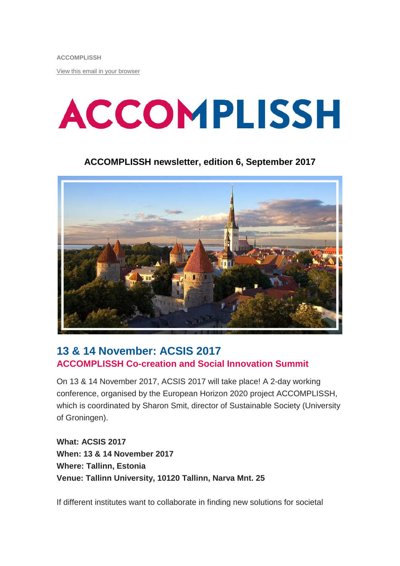[View this email in your browser](http://mailchi.mp/1a4b8d52a3c0/accomplissh-update?e=%5bUNIQID%5d)

# **ACCOMPLISSH**

#### **ACCOMPLISSH newsletter, edition 6, September 2017**



#### **13 & 14 November: ACSIS 2017 ACCOMPLISSH Co-creation and Social Innovation Summit**

On 13 & 14 November 2017, ACSIS 2017 will take place! A 2-day working conference, organised by the European Horizon 2020 project ACCOMPLISSH, which is coordinated by Sharon Smit, director of Sustainable Society (University of Groningen).

**What: ACSIS 2017 When: 13 & 14 November 2017 Where: Tallinn, Estonia Venue: Tallinn University, 10120 Tallinn, Narva Mnt. 25**

If different institutes want to collaborate in finding new solutions for societal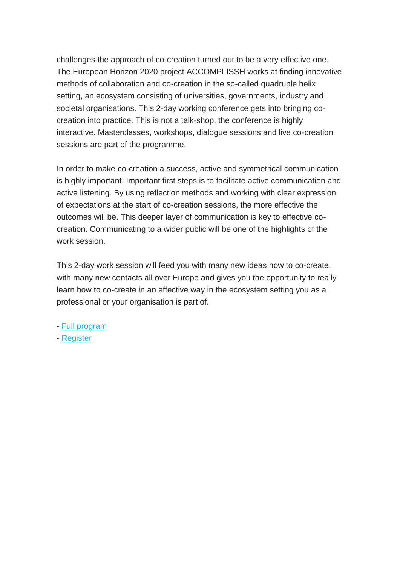challenges the approach of co-creation turned out to be a very effective one. The European Horizon 2020 project ACCOMPLISSH works at finding innovative methods of collaboration and co-creation in the so-called quadruple helix setting, an ecosystem consisting of universities, governments, industry and societal organisations. This 2-day working conference gets into bringing cocreation into practice. This is not a talk-shop, the conference is highly interactive. Masterclasses, workshops, dialogue sessions and live co-creation sessions are part of the programme.

In order to make co-creation a success, active and symmetrical communication is highly important. Important first steps is to facilitate active communication and active listening. By using reflection methods and working with clear expression of expectations at the start of co-creation sessions, the more effective the outcomes will be. This deeper layer of communication is key to effective cocreation. Communicating to a wider public will be one of the highlights of the work session

This 2-day work session will feed you with many new ideas how to co-create, with many new contacts all over Europe and gives you the opportunity to really learn how to co-create in an effective way in the ecosystem setting you as a professional or your organisation is part of.

- [Full program](http://www.rug.nl/research/sustainable-society/pdfs-docs/ACSIS_2017_PROGRAM.pdf)
- [Register](https://www.eventbrite.nl/e/acsis-2017-accomplissh-co-creation-and-social-innovation-summit-registration-36652735318)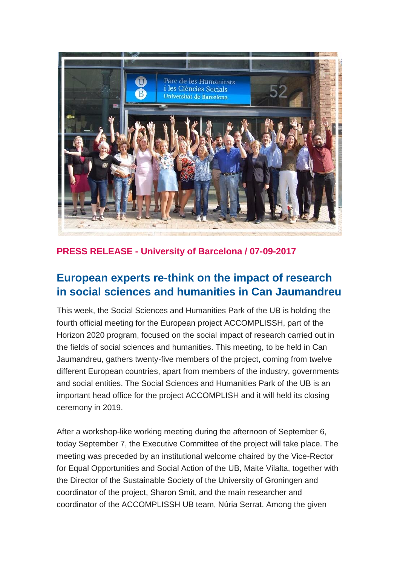

**PRESS RELEASE - University of Barcelona / 07-09-2017**

### **European experts re-think on the impact of research in social sciences and humanities in Can Jaumandreu**

This week, the Social Sciences and Humanities Park of the UB is holding the fourth official meeting for the European project ACCOMPLISSH, part of the Horizon 2020 program, focused on the social impact of research carried out in the fields of social sciences and humanities. This meeting, to be held in Can Jaumandreu, gathers twenty-five members of the project, coming from twelve different European countries, apart from members of the industry, governments and social entities. The Social Sciences and Humanities Park of the UB is an important head office for the project ACCOMPLISH and it will held its closing ceremony in 2019.

After a workshop-like working meeting during the afternoon of September 6, today September 7, the Executive Committee of the project will take place. The meeting was preceded by an institutional welcome chaired by the Vice-Rector for Equal Opportunities and Social Action of the UB, Maite Vilalta, together with the Director of the Sustainable Society of the University of Groningen and coordinator of the project, Sharon Smit, and the main researcher and coordinator of the ACCOMPLISSH UB team, Núria Serrat. Among the given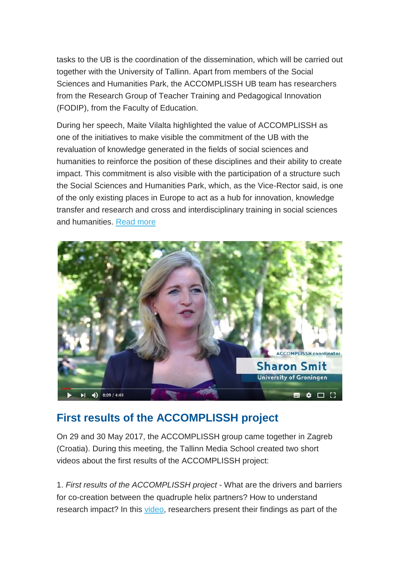tasks to the UB is the coordination of the dissemination, which will be carried out together with the University of Tallinn. Apart from members of the Social Sciences and Humanities Park, the ACCOMPLISSH UB team has researchers from the Research Group of Teacher Training and Pedagogical Innovation (FODIP), from the Faculty of Education.

During her speech, Maite Vilalta highlighted the value of ACCOMPLISSH as one of the initiatives to make visible the commitment of the UB with the revaluation of knowledge generated in the fields of social sciences and humanities to reinforce the position of these disciplines and their ability to create impact. This commitment is also visible with the participation of a structure such the Social Sciences and Humanities Park, which, as the Vice-Rector said, is one of the only existing places in Europe to act as a hub for innovation, knowledge transfer and research and cross and interdisciplinary training in social sciences and humanities. [Read more](http://www.ub.edu/web/ub/en/menu_eines/noticies/2017/09/008.html)



## **First results of the ACCOMPLISSH project**

On 29 and 30 May 2017, the ACCOMPLISSH group came together in Zagreb (Croatia). During this meeting, the Tallinn Media School created two short videos about the first results of the ACCOMPLISSH project:

1. *First results of the ACCOMPLISSH project* - What are the drivers and barriers for co-creation between the quadruple helix partners? How to understand research impact? In this [video,](https://www.youtube.com/watch?v=zy48C9ZDjAQ) researchers present their findings as part of the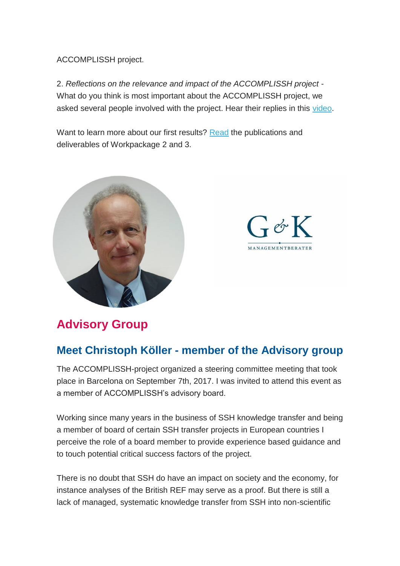ACCOMPLISSH project.

2. *Reflections on the relevance and impact of the ACCOMPLISSH project* - What do you think is most important about the ACCOMPLISSH project, we asked several people involved with the project. Hear their replies in this [video.](https://www.youtube.com/watch?v=52U4eK1G_d4)

Want to learn more about our first results? [Read](https://www.accomplissh.eu/publications-and-deliverablesand) the publications and deliverables of Workpackage 2 and 3.



 $-cK$ **MANAGEMENTRERATE** 

## **Advisory Group**

#### **Meet Christoph Köller - member of the Advisory group**

The ACCOMPLISSH-project organized a steering committee meeting that took place in Barcelona on September 7th, 2017. I was invited to attend this event as a member of ACCOMPLISSH's advisory board.

Working since many years in the business of SSH knowledge transfer and being a member of board of certain SSH transfer projects in European countries I perceive the role of a board member to provide experience based guidance and to touch potential critical success factors of the project.

There is no doubt that SSH do have an impact on society and the economy, for instance analyses of the British REF may serve as a proof. But there is still a lack of managed, systematic knowledge transfer from SSH into non-scientific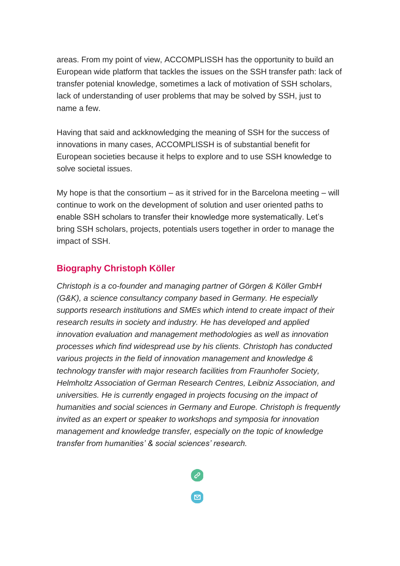areas. From my point of view, ACCOMPLISSH has the opportunity to build an European wide platform that tackles the issues on the SSH transfer path: lack of transfer potenial knowledge, sometimes a lack of motivation of SSH scholars, lack of understanding of user problems that may be solved by SSH, just to name a few.

Having that said and ackknowledging the meaning of SSH for the success of innovations in many cases, ACCOMPLISSH is of substantial benefit for European societies because it helps to explore and to use SSH knowledge to solve societal issues.

My hope is that the consortium – as it strived for in the Barcelona meeting – will continue to work on the development of solution and user oriented paths to enable SSH scholars to transfer their knowledge more systematically. Let's bring SSH scholars, projects, potentials users together in order to manage the impact of SSH.

#### **Biography Christoph Köller**

*Christoph is a co-founder and managing partner of Görgen & Köller GmbH (G&K), a science consultancy company based in Germany. He especially supports research institutions and SMEs which intend to create impact of their research results in society and industry. He has developed and applied innovation evaluation and management methodologies as well as innovation processes which find widespread use by his clients. Christoph has conducted various projects in the field of innovation management and knowledge & technology transfer with major research facilities from Fraunhofer Society, Helmholtz Association of German Research Centres, Leibniz Association, and universities. He is currently engaged in projects focusing on the impact of humanities and social sciences in Germany and Europe. Christoph is frequently invited as an expert or speaker to workshops and symposia for innovation management and knowledge transfer, especially on the topic of knowledge transfer from humanities' & social sciences' research.*

 $\overline{\Xi}$